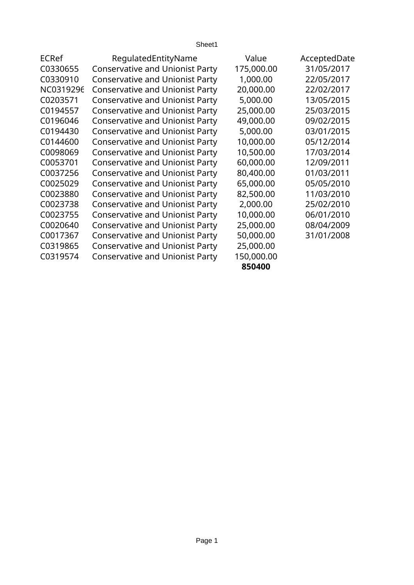Sheet1

| ECRef     | RegulatedEntityName                    | Value      | AcceptedDate |
|-----------|----------------------------------------|------------|--------------|
| C0330655  | <b>Conservative and Unionist Party</b> | 175,000.00 | 31/05/2017   |
| C0330910  | <b>Conservative and Unionist Party</b> | 1,000.00   | 22/05/2017   |
| NC0319296 | <b>Conservative and Unionist Party</b> | 20,000.00  | 22/02/2017   |
| C0203571  | <b>Conservative and Unionist Party</b> | 5,000.00   | 13/05/2015   |
| C0194557  | <b>Conservative and Unionist Party</b> | 25,000.00  | 25/03/2015   |
| C0196046  | <b>Conservative and Unionist Party</b> | 49,000.00  | 09/02/2015   |
| C0194430  | <b>Conservative and Unionist Party</b> | 5,000.00   | 03/01/2015   |
| C0144600  | <b>Conservative and Unionist Party</b> | 10,000.00  | 05/12/2014   |
| C0098069  | <b>Conservative and Unionist Party</b> | 10,500.00  | 17/03/2014   |
| C0053701  | <b>Conservative and Unionist Party</b> | 60,000.00  | 12/09/2011   |
| C0037256  | <b>Conservative and Unionist Party</b> | 80,400.00  | 01/03/2011   |
| C0025029  | <b>Conservative and Unionist Party</b> | 65,000.00  | 05/05/2010   |
| C0023880  | <b>Conservative and Unionist Party</b> | 82,500.00  | 11/03/2010   |
| C0023738  | <b>Conservative and Unionist Party</b> | 2,000.00   | 25/02/2010   |
| C0023755  | <b>Conservative and Unionist Party</b> | 10,000.00  | 06/01/2010   |
| C0020640  | <b>Conservative and Unionist Party</b> | 25,000.00  | 08/04/2009   |
| C0017367  | <b>Conservative and Unionist Party</b> | 50,000.00  | 31/01/2008   |
| C0319865  | <b>Conservative and Unionist Party</b> | 25,000.00  |              |
| C0319574  | <b>Conservative and Unionist Party</b> | 150,000.00 |              |
|           |                                        | 850400     |              |